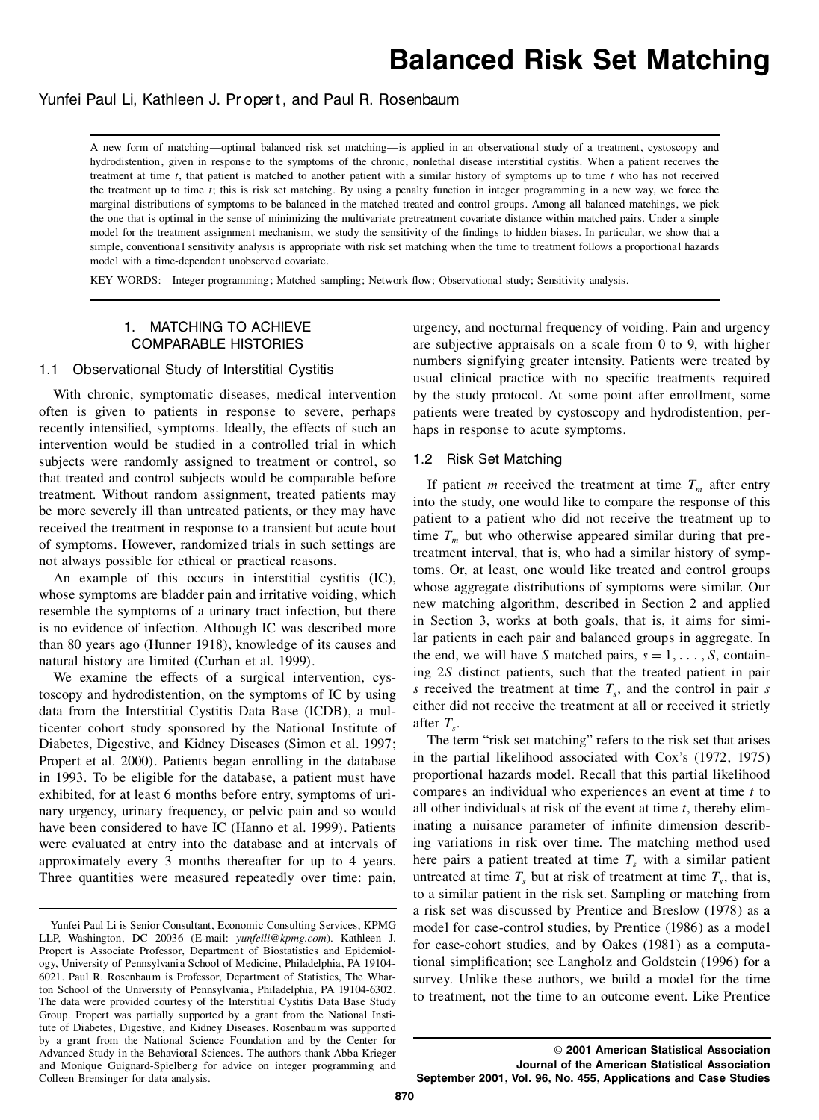# **Balanced Risk Set Matching**

# Yunfei Paul Li, Kathleen J. Propert, and Paul R. Rosenbaum

A new form of matching—optimal balanced risk set matching—is applied in an observational study of a treatment, cystoscopy and hydrodistention, given in response to the symptoms of the chronic, nonlethal disease interstitial cystitis. When a patient receives the treatment at time *t*, that patient is matched to another patient with a similar history of symptoms up to time *t* who has not received the treatment up to time *t*; this is risk set matching. By using a penalty function in integer programming in a new way, we force the marginal distributions of symptoms to be balanced in the matched treated and control groups. Among all balanced matchings, we pick the one that is optimal in the sense of minimizing the multivariate pretreatment covariate distance within matched pairs. Under a simple model for the treatment assignment mechanism, we study the sensitivity of the findings to hidden biases. In particular, we show that a simple, conventional sensitivity analysis is appropriate with risk set matching when the time to treatment follows a proportional hazards model with a time-dependent unobserved covariate.

KEY WORDS: Integer programming; Matched sampling; Network flow; Observational study; Sensitivity analysis.

# 1. MATCHING TO ACHIEVE COMPARABLE HISTORIES

#### 1.1 Observational Study of Interstitial Cystitis

With chronic, symptomatic diseases, medical intervention often is given to patients in response to severe, perhaps recently intensified, symptoms. Ideally, the effects of such an intervention would be studied in a controlled trial in which subjects were randomly assigned to treatment or control, so that treated and control subjects would be comparable before treatment. Without random assignment, treated patients may be more severely ill than untreated patients, or they may have received the treatment in response to a transient but acute bout of symptoms. However, randomized trials in such settings are not always possible for ethical or practical reasons.

An example of this occurs in interstitial cystitis (IC), whose symptoms are bladder pain and irritative voiding, which resemble the symptoms of a urinary tract infection, but there is no evidence of infection. Although IC was described more than 80 years ago (Hunner 1918), knowledge of its causes and natural history are limited (Curhan et al. 1999).

We examine the effects of a surgical intervention, cystoscopy and hydrodistention, on the symptoms of IC by using data from the Interstitial Cystitis Data Base (ICDB), a multicenter cohort study sponsored by the National Institute of Diabetes, Digestive, and Kidney Diseases (Simon et al. 1997; Propert et al. 2000). Patients began enrolling in the database in 1993. To be eligible for the database, a patient must have exhibited, for at least 6 months before entry, symptoms of uri nary urgency, urinary frequency, or pelvic pain and so would have been considered to have IC (Hanno et al. 1999). Patients were evaluated at entry into the database and at intervals of approximately every 3 months thereafter for up to 4 years. Three quantities were measured repeatedly over time: pain,

urgency, and nocturnal frequency of voiding. Pain and urgency are subjective appraisals on a scale from  $0$  to  $9$ , with higher numbers signifying greater intensity. Patients were treated by usual clinical practice with no specific treatments required by the study protocol. At some point after enrollment, some patients were treated by cystoscopy and hydrodistention, per haps in response to acute symptoms.

## 1.2 Risk Set Matching

If patient *m* received the treatment at time  $T<sub>m</sub>$  after entry into the study, one would like to compare the response of this patient to a patient who did not receive the treatment up to time  $T_m$  but who otherwise appeared similar during that pretreatment interval, that is, who had a similar history of symptoms. Or, at least, one would like treated and control groups whose aggregate distributions of symptoms were similar. Our new matching algorithm, described in Section 2 and applied in Section 3, works at both goals, that is, it aims for similar patients in each pair and balanced groups in aggregate. In the end, we will have *S* matched pairs,  $s = 1, \ldots, S$ , containing 2*S* distinct patients, such that the treated patient in pair *s* received the treatment at time  $T<sub>s</sub>$ , and the control in pair *s* either did not receive the treatment at all or received it strictly after  $T<sub>s</sub>$ .

The term "risk set matching" refers to the risk set that arises in the partial likelihood associated with Cox's (1972, 1975) proportional hazards model. Recall that this partial likelihood compares an individual who experiences an event at time *t* to all other individuals at risk of the event at time *t*, thereby eliminating a nuisance parameter of infinite dimension describing variations in risk over time. The matching method used here pairs a patient treated at time  $T<sub>s</sub>$  with a similar patient untreated at time  $T<sub>s</sub>$  but at risk of treatment at time  $T<sub>s</sub>$ , that is, to a similar patient in the risk set. Sampling or matching from a risk set was discussed by Prentice and Breslow (1978) as a model for case-control studies, by Prentice (1986) as a model for case-cohort studies, and by Oakes (1981) as a computational simplification; see Langholz and Goldstein (1996) for a survey. Unlike these authors, we build a model for the time to treatment, not the time to an outcome event. Like Prentice

Yunfei Paul Li is Senior Consultant, Economic Consulting Services, KPMG LLP, Washington, DC 20036 (E-mail: *yunfeili@kpmg.com*). Kathleen J. Propert is Associate Professor, Department of Biostatistics and Epidemiol ogy, University of Pennsylvania School of Medicine, Philadelphia, PA 19104- 6021. Paul R. Rosenbaum is Professor, Department of Statistics, The Wharton School of the University of Pennsylvania, Philadelphia, PA 19104-6302. The data were provided courtesy of the Interstitial Cystitis Data Base Study Group. Propert was partially supported by a grant from the National Institute of Diabetes, Digestive, and Kidney Diseases. Rosenbaum was supported by a grant from the National Science Foundation and by the Center for Advanced Study in the Behavioral Sciences. The authors thank Abba Krieger and Monique Guignard-Spielberg for advice on integer programming and Colleen Brensinger for data analysis.

<sup>©</sup> **2001 American Statistical Association Journal of the American Statistical Association**

**September 2001, Vol. 96, No. 455, Applications and Case Studies**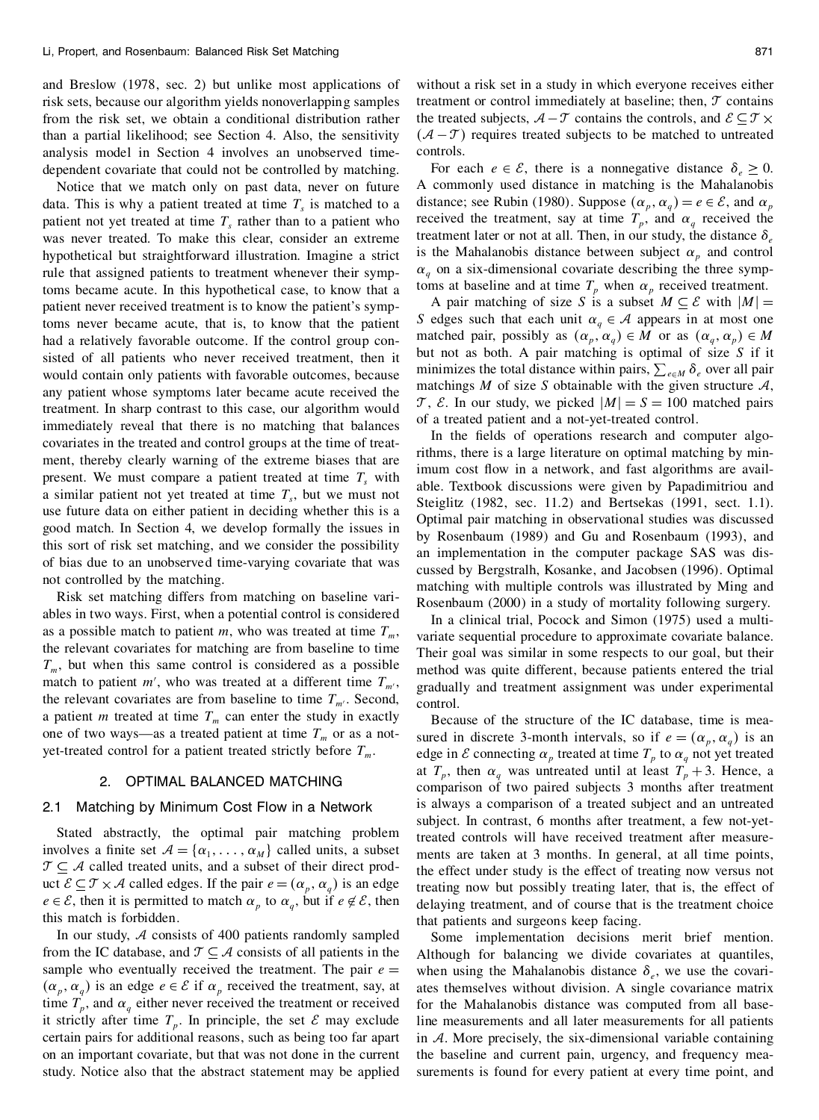and Breslow (1978, sec. 2) but unlike most applications of risk sets, because our algorithm yields nonoverlapping samples from the risk set, we obtain a conditional distribution rather than a partial likelihood; see Section 4. Also, the sensitivity analysis model in Section 4 involves an unobserved time dependent covariate that could not be controlled by matching.

Notice that we match only on past data, never on future data. This is why a patient treated at time  $T<sub>s</sub>$  is matched to a patient not yet treated at time  $T<sub>s</sub>$  rather than to a patient who was never treated. To make this clear, consider an extreme hypothetical but straightforward illustration. Imagine a strict rule that assigned patients to treatment whenever their symptoms became acute. In this hypothetical case, to know that a patient never received treatment is to know the patient's symptoms never became acute, that is, to know that the patient had a relatively favorable outcome. If the control group consisted of all patients who never received treatment, then it would contain only patients with favorable outcomes, because any patient whose symptoms later became acute received the treatment. In sharp contrast to this case, our algorithm would immediately reveal that there is no matching that balances covariates in the treated and control groups at the time of treat ment, thereby clearly warning of the extreme biases that are present. We must compare a patient treated at time *T<sup>s</sup>* with a similar patient not yet treated at time  $T<sub>s</sub>$ , but we must not use future data on either patient in deciding whether this is a good match. In Section 4, we develop formally the issues in this sort of risk set matching, and we consider the possibility of bias due to an unobserved time-varying covariate that was not controlled by the matching.

Risk set matching differs from matching on baseline vari ables in two ways. First, when a potential control is considered as a possible match to patient *m*, who was treated at time  $T_m$ , the relevant covariates for matching are from baseline to time  $T_m$ , but when this same control is considered as a possible match to patient  $m'$ , who was treated at a different time  $T_{m'}$ , the relevant covariates are from baseline to time  $T_{m'}$ . Second, a patient *m* treated at time  $T_m$  can enter the study in exactly one of two ways—as a treated patient at time  $T_m$  or as a notyet-treated control for a patient treated strictly before *Tm*.

## 2. OPTIMAL BALANCED MATCHING

## 2.1 Matching by Minimum Cost Flow in a Network

Stated abstractly, the optimal pair matching problem involves a finite set  $A = \{\alpha_1, \ldots, \alpha_M\}$  called units, a subset  $\mathcal{T} \subseteq \mathcal{A}$  called treated units, and a subset of their direct product  $\mathcal{E} \subseteq \mathcal{T} \times \mathcal{A}$  called edges. If the pair  $e = (\alpha_p, \alpha_q)$  is an edge  $e \in \mathcal{E}$ , then it is permitted to match  $\alpha_p$  to  $\alpha_q$ , but if  $e \notin \mathcal{E}$ , then this match is forbidden.

In our study,  $A$  consists of 400 patients randomly sampled from the IC database, and  $\mathcal{T} \subseteq \mathcal{A}$  consists of all patients in the sample who eventually received the treatment. The pair  $e =$  $(\alpha_p, \alpha_q)$  is an edge  $e \in \mathcal{E}$  if  $\alpha_p$  received the treatment, say, at time  $T_p$ , and  $\alpha_q$  either never received the treatment or received f it strictly after time  $T_p$ . In principle, the set  $\mathcal E$  may exclude certain pairs for additional reasons, such as being too far apart on an important covariate, but that was not done in the current study. Notice also that the abstract statement may be applied

without a risk set in a study in which everyone receives either treatment or control immediately at baseline; then,  $\mathcal T$  contains the treated subjects,  $A - \mathcal{T}$  contains the controls, and  $\mathcal{E} \subseteq \mathcal{T} \times$  $(A - \mathcal{T})$  requires treated subjects to be matched to untreated controls.

For each  $e \in \mathcal{E}$ , there is a nonnegative distance  $\delta_e \geq 0$ . A commonly used distance in matching is the Mahalanobis distance; see Rubin (1980). Suppose  $(\alpha_p, \alpha_q) = e \in \mathcal{E}$ , and  $\alpha_p$ received the treatment, say at time  $T_p$ , and  $\alpha_q$  received the treatment later or not at all. Then, in our study, the distance  $\delta_e$ is the Mahalanobis distance between subject  $\alpha_n$  and control  $\alpha_q$  on a six-dimensional covariate describing the three symptoms at baseline and at time  $T_p$  when  $\alpha_p$  received treatment.

A pair matching of size *S* is a subset  $M \subseteq \mathcal{E}$  with  $|M|$  = *S* edges such that each unit  $\alpha_q \in \mathcal{A}$  appears in at most one matched pair, possibly as  $(\alpha_p, \alpha_q) \in M$  or as  $(\alpha_q, \alpha_p) \in M$ but not as both. A pair matching is optimal of size *S* if it minimizes the total distance within pairs,  $\sum_{e \in M} \delta_e$  over all pair matchings  $M$  of size  $S$  obtainable with the given structure  $A$ ,  $\mathcal{T}$ ,  $\mathcal{E}$ . In our study, we picked  $|M| = S = 100$  matched pairs of a treated patient and a not-yet-treated control.

In the fields of operations research and computer algorithms, there is a large literature on optimal matching by minimum cost flow in a network, and fast algorithms are available. Textbook discussions were given by Papadimitriou and Steiglitz (1982, sec. 11.2) and Bertsekas (1991, sect. 1.1). Optimal pair matching in observational studies was discussed by Rosenbaum (1989) and Gu and Rosenbaum (1993), and an implementation in the computer package SAS was dis cussed by Bergstralh, Kosanke, and Jacobsen (1996). Optimal matching with multiple controls was illustrated by Ming and Rosenbaum (2000) in a study of mortality following surgery.

In a clinical trial, Pocock and Simon (1975) used a multi variate sequential procedure to approximate covariate balance. Their goal was similar in some respects to our goal, but their method was quite different, because patients entered the trial gradually and treatment assignment was under experimental control.

Because of the structure of the IC database, time is mea sured in discrete 3-month intervals, so if  $e = (\alpha_p, \alpha_q)$  is an edge in  $\mathcal E$  connecting  $\alpha_p$  treated at time  $T_p$  to  $\alpha_q$  not yet treated at  $T_p$ , then  $\alpha_q$  was untreated until at least  $T_p + 3$ . Hence, a comparison of two paired subjects 3 months after treatment is always a comparison of a treated subject and an untreated subject. In contrast, 6 months after treatment, a few not-yettreated controls will have received treatment after measure ments are taken at 3 months. In general, at all time points, the effect under study is the effect of treating now versus not treating now but possibly treating later, that is, the effect of delaying treatment, and of course that is the treatment choice that patients and surgeons keep facing.

Some implementation decisions merit brief mention. Although for balancing we divide covariates at quantiles, when using the Mahalanobis distance  $\delta_e$ , we use the covariates themselves without division. A single covariance matrix for the Mahalanobis distance was computed from all baseline measurements and all later measurements for all patients in  $A$ . More precisely, the six-dimensional variable containing the baseline and current pain, urgency, and frequency mea surements is found for every patient at every time point, and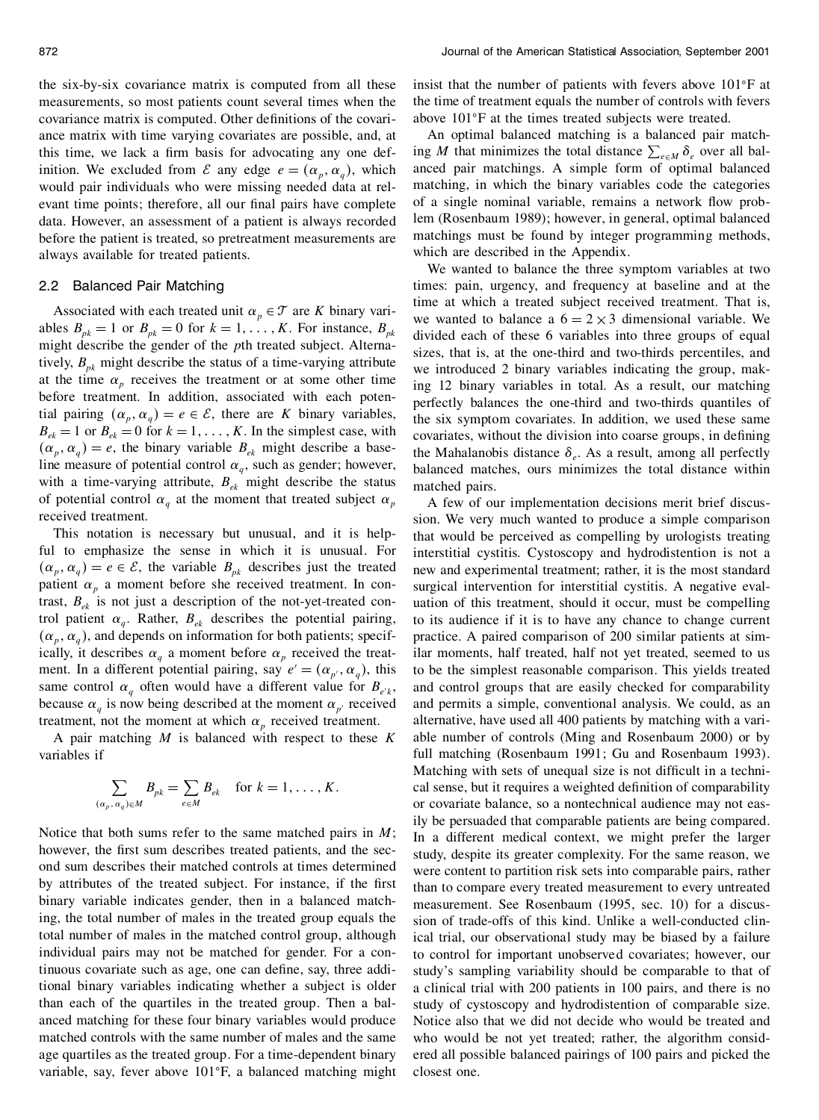the six-by-six covariance matrix is computed from all these measurements, so most patients count several times when the covariance matrix is computed. Other definitions of the covariance matrix with time varying covariates are possible, and, at this time, we lack a firm basis for advocating any one definition. We excluded from  $\mathcal{E}$  any edge  $e = (\alpha_p, \alpha_q)$ , which a would pair individuals who were missing needed data at rel evant time points; therefore, all our final pairs have complete data. However, an assessment of a patient is always recorded before the patient is treated, so pretreatment measurements are always available for treated patients.

## 2.2 Balanced Pair Matching

Associated with each treated unit  $\alpha_p \in \mathcal{T}$  are *K* binary variables  $B_{pk} = 1$  or  $B_{pk} = 0$  for  $k = 1, \dots, K$ . For instance,  $B_{pk}$ might describe the gender of the *p*th treated subject. Alternatively,  $B_{pk}$  might describe the status of a time-varying attribute at the time  $\alpha_p$  receives the treatment or at some other time before treatment. In addition, associated with each potential pairing  $(\alpha_p, \alpha_q) = e \in \mathcal{E}$ , there are K binary variables,  $B_{ek} = 1$  or  $B_{ek} = 0$  for  $k = 1, \ldots, K$ . In the simplest case, with  $(\alpha_p, \alpha_q) = e$ , the binary variable  $B_{ek}$  might describe a baseline measure of potential control  $\alpha_q$ , such as gender; however, with a time-varying attribute,  $B_{ek}$  might describe the status of potential control  $\alpha_q$  at the moment that treated subject  $\alpha_p$ received treatment.

This notation is necessary but unusual, and it is helpful to emphasize the sense in which it is unusual. For  $(\alpha_p, \alpha_q) = e \in \mathcal{E}$ , the variable  $B_{pk}$  describes just the treated  $r$ patient  $\alpha_p$  a moment before she received treatment. In contrast,  $B_{ek}$  is not just a description of the not-yet-treated control patient  $\alpha_q$ . Rather,  $B_{ek}$  describes the potential pairing,  $(\alpha_p, \alpha_q)$ , and depends on information for both patients; specifically, it describes  $\alpha_q$  a moment before  $\alpha_p$  received the treatment. In a different potential pairing, say  $e' = (\alpha_{p'}, \alpha_q)$ , this same control  $\alpha_q$  often would have a different value for  $B_{e^i k}$ , because  $\alpha_q$  is now being described at the moment  $\alpha_{p'}$  received a treatment, not the moment at which  $\alpha_p$  received treatment.

A pair matching *M* is balanced with respect to these *K* variables if

$$
\sum_{(\alpha_p,\,\alpha_q)\in M} B_{pk} = \sum_{e\in M} B_{ek} \quad \text{for } k = 1,\ldots,K.
$$

Notice that both sums refer to the same matched pairs in *M*; however, the first sum describes treated patients, and the second sum describes their matched controls at times determined by attributes of the treated subject. For instance, if the first binary variable indicates gender, then in a balanced matching, the total number of males in the treated group equals the total number of males in the matched control group, although individual pairs may not be matched for gender. For a continuous covariate such as age, one can define, say, three additional binary variables indicating whether a subject is older than each of the quartiles in the treated group. Then a bal anced matching for these four binary variables would produce matched controls with the same number of males and the same age quartiles as the treated group. For a time-dependent binary variable, say, fever above 101 F, a balanced matching might

insist that the number of patients with fevers above 101 F at the time of treatment equals the number of controls with fevers above 101°F at the times treated subjects were treated.

An optimal balanced matching is a balanced pair matching *M* that minimizes the total distance  $\sum_{e \in M} \delta_e$  over all balanced pair matchings. A simple form of optimal balanced matching, in which the binary variables code the categories of a single nominal variable, remains a network flow problem (Rosenbaum 1989); however, in general, optimal balanced matchings must be found by integer programming methods, which are described in the Appendix.

We wanted to balance the three symptom variables at two times: pain, urgency, and frequency at baseline and at the time at which a treated subject received treatment. That is, we wanted to balance a  $6 = 2 \times 3$  dimensional variable. We divided each of these 6 variables into three groups of equal sizes, that is, at the one-third and two-thirds percentiles, and we introduced 2 binary variables indicating the group, making 12 binary variables in total. As a result, our matching perfectly balances the one-third and two-thirds quantiles of the six symptom covariates. In addition, we used these same covariates, without the division into coarse groups, in defining the Mahalanobis distance  $\delta_e$ . As a result, among all perfectly balanced matches, ours minimizes the total distance within matched pairs.

A few of our implementation decisions merit brief discus sion. We very much wanted to produce a simple comparison that would be perceived as compelling by urologists treating interstitial cystitis. Cystoscopy and hydrodistention is not a new and experimental treatment; rather, it is the most standard surgical intervention for interstitial cystitis. A negative eval uation of this treatment, should it occur, must be compelling to its audience if it is to have any chance to change current practice. A paired comparison of 200 similar patients at similar moments, half treated, half not yet treated, seemed to us to be the simplest reasonable comparison. This yields treated and control groups that are easily checked for comparability and permits a simple, conventional analysis. We could, as an alternative, have used all 400 patients by matching with a vari able number of controls (Ming and Rosenbaum 2000) or by full matching (Rosenbaum 1991; Gu and Rosenbaum 1993). Matching with sets of unequal size is not difficult in a technical sense, but it requires a weighted definition of comparability or covariate balance, so a nontechnical audience may not easily be persuaded that comparable patients are being compared. In a different medical context, we might prefer the larger study, despite its greater complexity. For the same reason, we were content to partition risk sets into comparable pairs, rather than to compare every treated measurement to every untreated measurement. See Rosenbaum (1995, sec. 10) for a discus sion of trade-offs of this kind. Unlike a well-conducted clinical trial, our observational study may be biased by a failure to control for important unobserved covariates; however, our study's sampling variability should be comparable to that of a clinical trial with 200 patients in 100 pairs, and there is no study of cystoscopy and hydrodistention of comparable size. Notice also that we did not decide who would be treated and who would be not yet treated; rather, the algorithm consid ered all possible balanced pairings of 100 pairs and picked the closest one.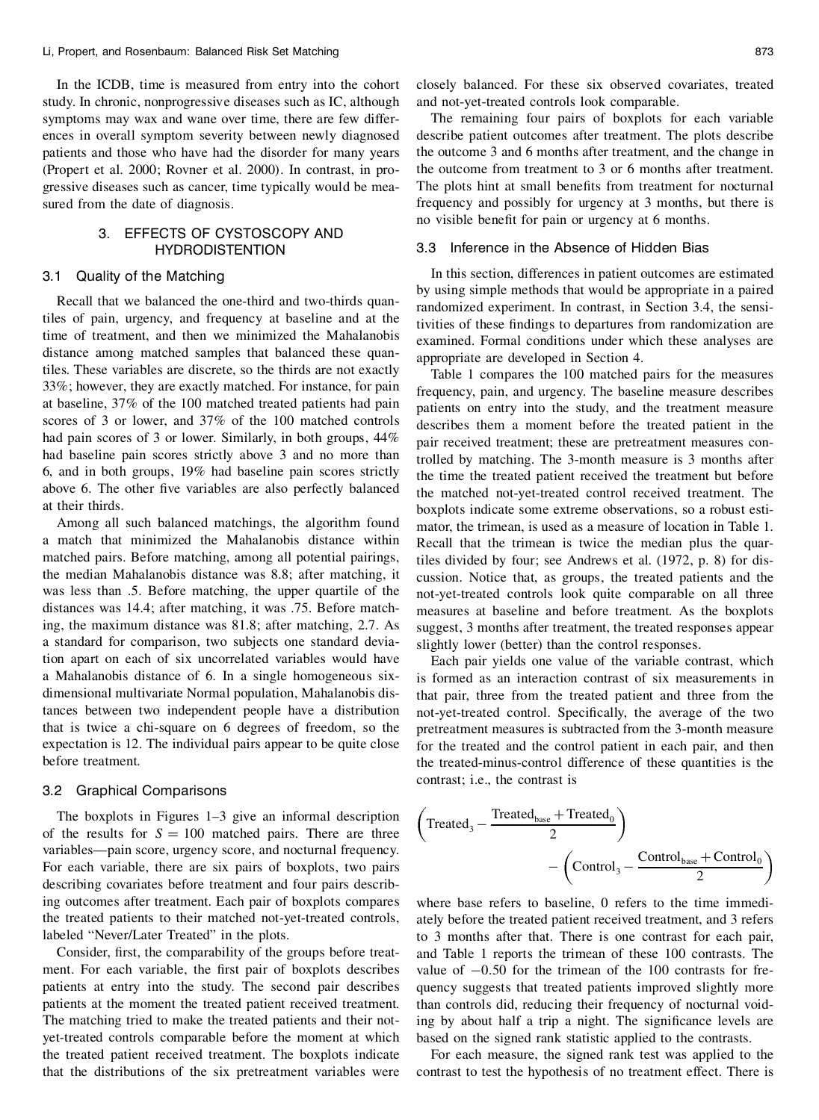In the ICDB, time is measured from entry into the cohort study. In chronic, nonprogressive diseases such as IC, although symptoms may wax and wane over time, there are few differ ences in overall symptom severity between newly diagnosed patients and those who have had the disorder for many years (Propert et al. 2000; Rovner et al. 2000). In contrast, in pro gressive diseases such as cancer, time typically would be measured from the date of diagnosis.

# 3. EFFECTS OF CYSTOSCOPY AND **HYDRODISTENTION**

# 3.1 Quality of the Matching

Recall that we balanced the one-third and two-thirds quantiles of pain, urgency, and frequency at baseline and at the time of treatment, and then we minimized the Mahalanobis distance among matched samples that balanced these quantiles. These variables are discrete, so the thirds are not exactly 33%; however, they are exactly matched. For instance, for pain at baseline, 37% of the 100 matched treated patients had pain scores of 3 or lower, and 37% of the 100 matched controls had pain scores of 3 or lower. Similarly, in both groups,  $44\%$ had baseline pain scores strictly above 3 and no more than 6, and in both groups, 19% had baseline pain scores strictly above 6. The other five variables are also perfectly balanced at their thirds.

Among all such balanced matchings, the algorithm found a match that minimized the Mahalanobis distance within matched pairs. Before matching, among all potential pairings, the median Mahalanobis distance was 8.8; after matching, it was less than .5. Before matching, the upper quartile of the distances was 14.4; after matching, it was .75. Before matching, the maximum distance was 81.8; after matching, 2.7. As a standard for comparison, two subjects one standard deviation apart on each of six uncorrelated variables would have a Mahalanobis distance of 6. In a single homogeneous six dimensional multivariate Normal population, Mahalanobis distances between two independent people have a distribution that is twice a chi-square on 6 degrees of freedom, so the expectation is 12. The individual pairs appear to be quite close before treatment.

## 3.2 Graphical Comparisons

The boxplots in Figures 1–3 give an informal description of the results for  $S = 100$  matched pairs. There are three variables—pain score, urgency score, and nocturnal frequency. For each variable, there are six pairs of boxplots, two pairs describing covariates before treatment and four pairs describing outcomes after treatment. Each pair of boxplots compares the treated patients to their matched not-yet-treated controls, labeled "Never/Later Treated" in the plots.

Consider, first, the comparability of the groups before treatpatients at entry into the study. The second pair describes patients at the moment the treated patient received treatment. The matching tried to make the treated patients and their not yet-treated controls comparable before the moment at which the treated patient received treatment. The boxplots indicate that the distributions of the six pretreatment variables were closely balanced. For these six observed covariates, treated and not-yet-treated controls look comparable.

The remaining four pairs of boxplots for each variable describe patient outcomes after treatment. The plots describe the outcome 3 and 6 months after treatment, and the change in the outcome from treatment to 3 or 6 months after treatment. The plots hint at small benefits from treatment for nocturnal frequency and possibly for urgency at 3 months, but there is no visible benefit for pain or urgency at 6 months.

## 3.3 Inference in the Absence of Hidden Bias

In this section, differences in patient outcomes are estimated by using simple methods that would be appropriate in a paired randomized experiment. In contrast, in Section 3.4, the sensitivities of these findings to departures from randomization are examined. Formal conditions under which these analyses are appropriate are developed in Section 4.

Table 1 compares the 100 matched pairs for the measures frequency, pain, and urgency. The baseline measure describes patients on entry into the study, and the treatment measure describes them a moment before the treated patient in the pair received treatment; these are pretreatment measures controlled by matching. The 3-month measure is 3 months after the time the treated patient received the treatment but before the matched not-yet-treated control received treatment. The boxplots indicate some extreme observations, so a robust esti mator, the trimean, is used as a measure of location in Table 1. Recall that the trimean is twice the median plus the quartiles divided by four; see Andrews et al. (1972, p. 8) for dis cussion. Notice that, as groups, the treated patients and the not-yet-treated controls look quite comparable on all three measures at baseline and before treatment. As the boxplots suggest, 3 months after treatment, the treated responses appear slightly lower (better) than the control responses.

Each pair yields one value of the variable contrast, which is formed as an interaction contrast of six measurements in that pair, three from the treated patient and three from the not-yet-treated control. Specifically, the average of the two pretreatment measures is subtracted from the 3-month measure for the treated and the control patient in each pair, and then the treated-minus-control difference of these quantities is the contrast; i.e., the contrast is

$$
\left(\text{Treated}_3 - \frac{\text{Treated}_{\text{base}} + \text{Treated}_0}{2}\right) - \left(\text{Control}_3 - \frac{\text{Control}_{\text{base}} + \text{Control}_0}{2}\right)
$$

ment. For each variable, the first pair of boxplots describes value of  $-0.50$  for the trimean of the 100 contrasts for frewhere base refers to baseline, 0 refers to the time immedi ately before the treated patient received treatment, and 3 refers to 3 months after that. There is one contrast for each pair, and Table 1 reports the trimean of these 100 contrasts. The quency suggests that treated patients improved slightly more than controls did, reducing their frequency of nocturnal voiding by about half a trip a night. The significance levels are based on the signed rank statistic applied to the contrasts.

> For each measure, the signed rank test was applied to the contrast to test the hypothesis of no treatment effect. There is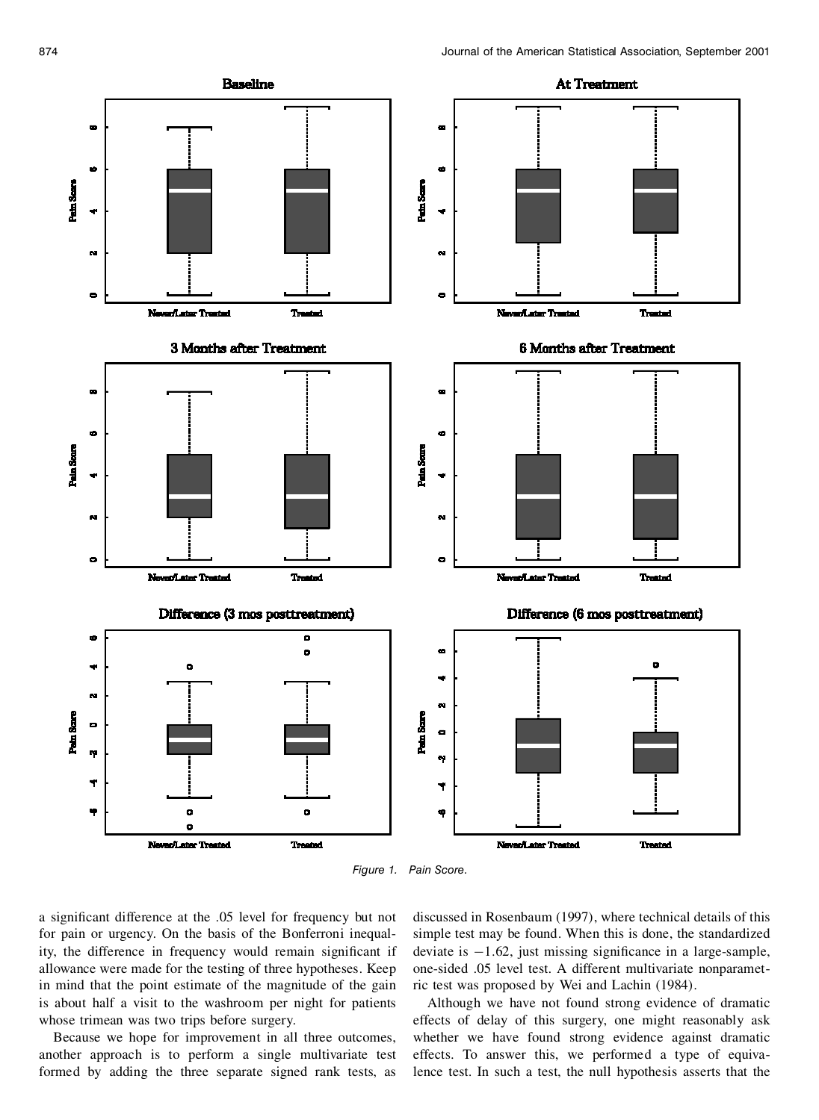

*Figure 1. Pain Score.*

a significant difference at the .05 level for frequency but not for pain or urgency. On the basis of the Bonferroni inequality, the difference in frequency would remain significant if deviate is  $-1.62$ , just missing significance in a large-sample, allowance were made for the testing of three hypotheses. Keep in mind that the point estimate of the magnitude of the gain is about half a visit to the washroom per night for patients whose trimean was two trips before surgery.

Because we hope for improvement in all three outcomes, another approach is to perform a single multivariate test formed by adding the three separate signed rank tests, as

discussed in Rosenbaum (1997), where technical details of this simple test may be found. When this is done, the standardized one-sided .05 level test. A different multivariate nonparametric test was proposed by Wei and Lachin (1984).

Although we have not found strong evidence of dramatic effects of delay of this surgery, one might reasonably ask whether we have found strong evidence against dramatic effects. To answer this, we performed a type of equivalence test. In such a test, the null hypothesis asserts that the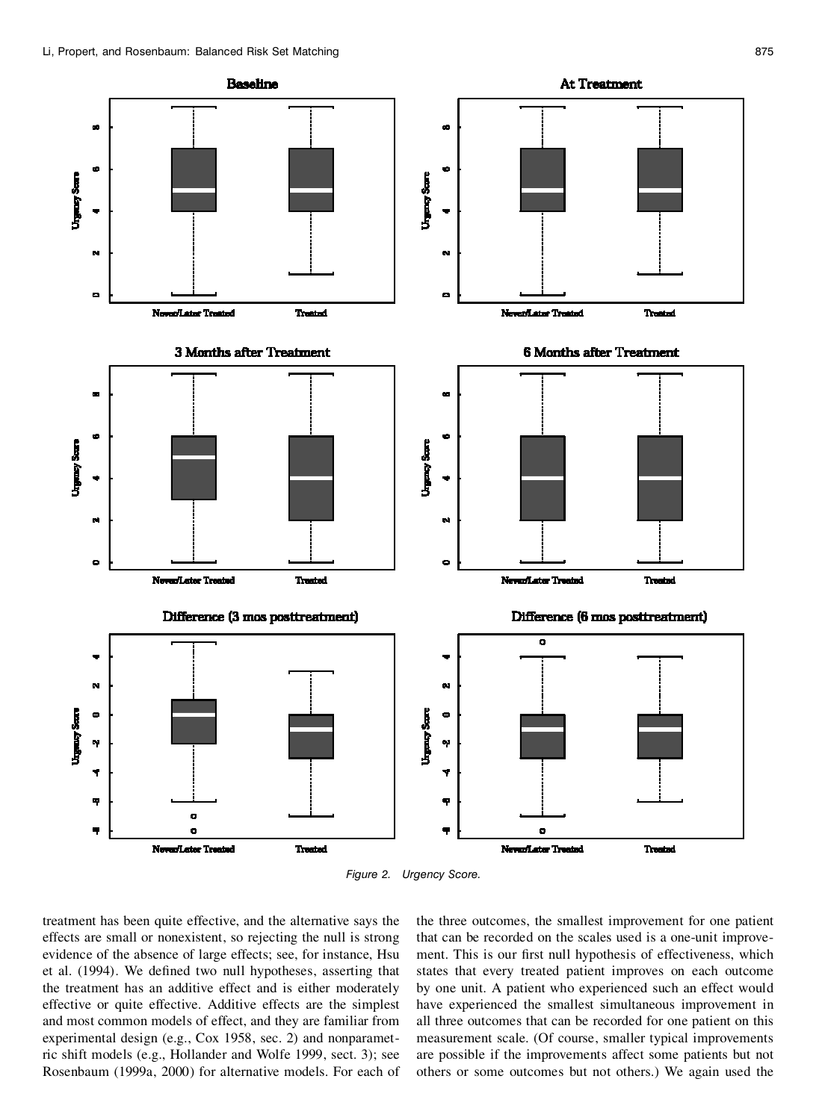

*Figure 2. Urgency Score.*

treatment has been quite effective, and the alternative says the effects are small or nonexistent, so rejecting the null is strong evidence of the absence of large effects; see, for instance, Hsu et al. (1994). We defined two null hypotheses, asserting that the treatment has an additive effect and is either moderately effective or quite effective. Additive effects are the simplest and most common models of effect, and they are familiar from experimental design (e.g., Cox 1958, sec. 2) and nonparametric shift models (e.g., Hollander and Wolfe 1999, sect. 3); see Rosenbaum (1999a, 2000) for alternative models. For each of

the three outcomes, the smallest improvement for one patient that can be recorded on the scales used is a one-unit improve ment. This is our first null hypothesis of effectiveness, which states that every treated patient improves on each outcome by one unit. A patient who experienced such an effect would have experienced the smallest simultaneous improvement in all three outcomes that can be recorded for one patient on this measurement scale. (Of course, smaller typical improvements are possible if the improvements affect some patients but not others or some outcomes but not others.) We again used the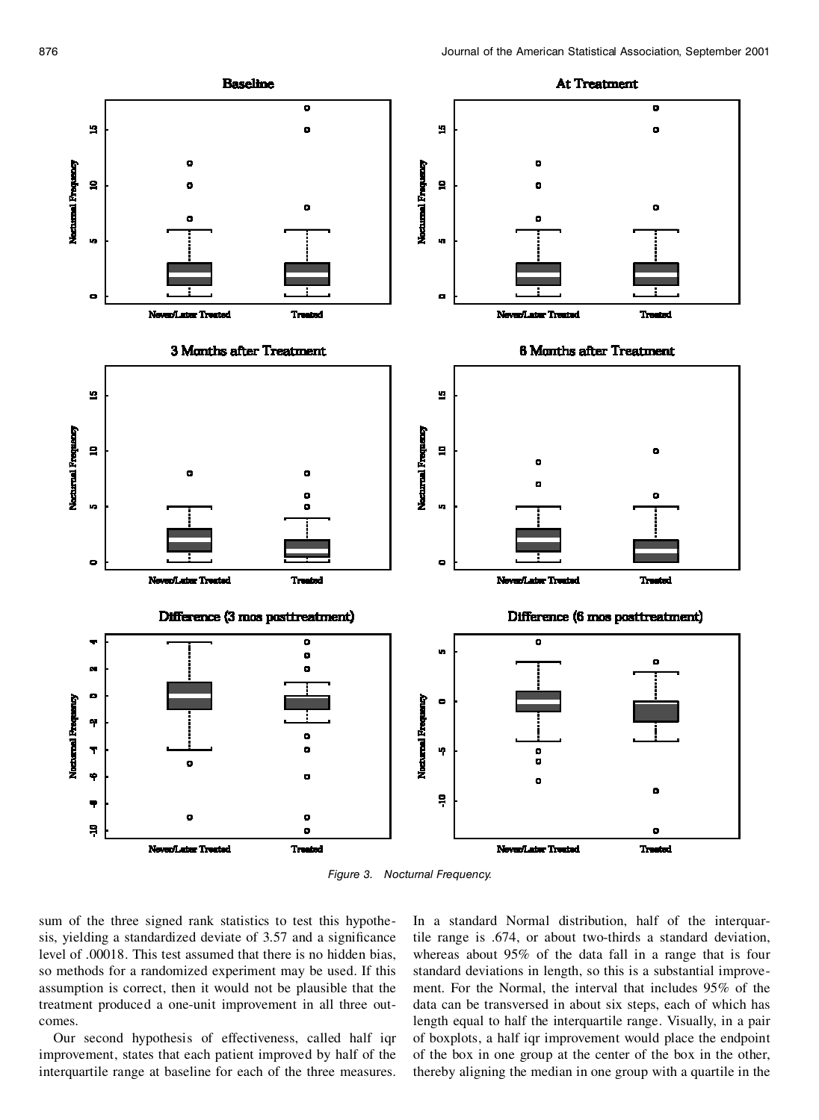

*Figure 3. Nocturnal Frequency.*

sum of the three signed rank statistics to test this hypothe sis, yielding a standardized deviate of 3.57 and a significance level of .00018. This test assumed that there is no hidden bias, so methods for a randomized experiment may be used. If this assumption is correct, then it would not be plausible that the treatment produced a one-unit improvement in all three out comes.

Our second hypothesis of effectiveness, called half iqr improvement, states that each patient improved by half of the interquartile range at baseline for each of the three measures.

In a standard Normal distribution, half of the interquartile range is .674, or about two-thirds a standard deviation, whereas about 95% of the data fall in a range that is four standard deviations in length, so this is a substantial improve ment. For the Normal, the interval that includes 95% of the data can be transversed in about six steps, each of which has length equal to half the interquartile range. Visually, in a pair of boxplots, a half iqr improvement would place the endpoint of the box in one group at the center of the box in the other, thereby aligning the median in one group with a quartile in the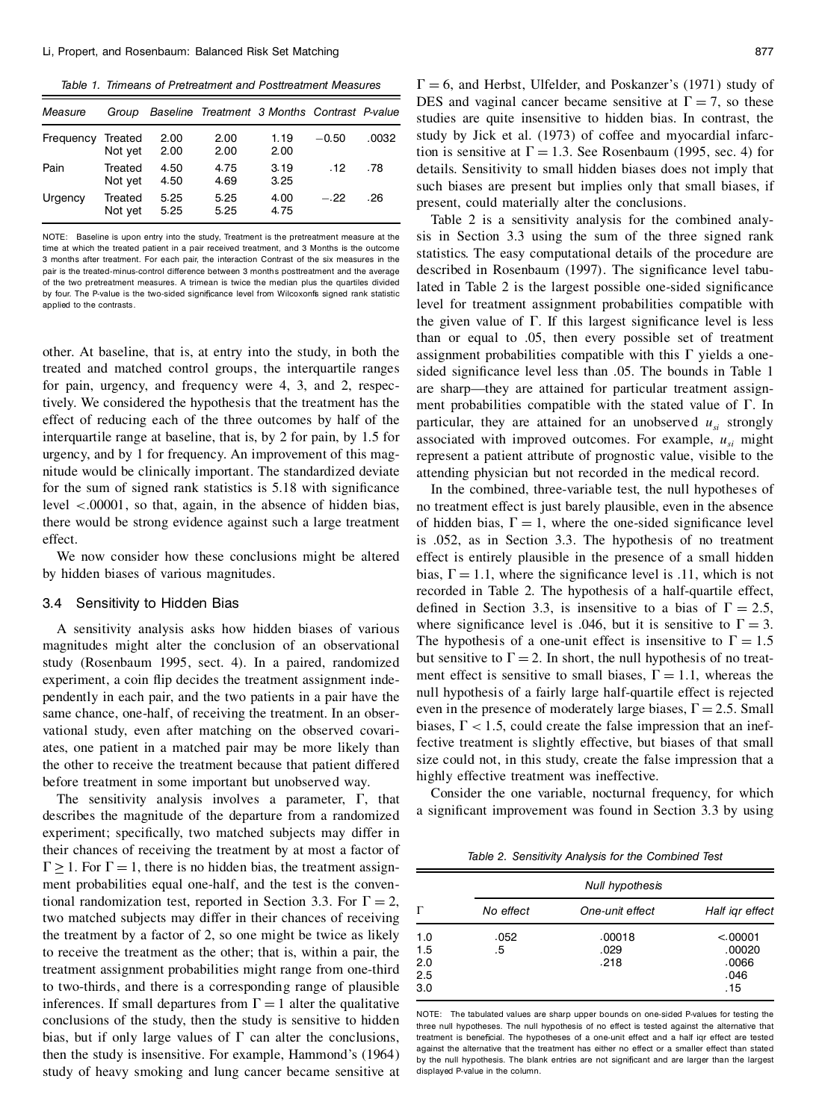*Table 1. Trimeans of Pretreatment and Posttreatment Measures*

| Measure   | Group              |              | Baseline Treatment 3 Months Contrast P-value |              |         |       |
|-----------|--------------------|--------------|----------------------------------------------|--------------|---------|-------|
| Frequency | Treated<br>Not yet | 2.00<br>2.00 | 2.00<br>2.00                                 | 1.19<br>2.00 | $-0.50$ | .0032 |
| Pain      | Treated<br>Not yet | 4.50<br>4.50 | 4.75<br>4.69                                 | 3.19<br>3.25 | .12     | .78   |
| Urgency   | Treated<br>Not yet | 5.25<br>5.25 | 5.25<br>5.25                                 | 4.00<br>4.75 | $-.22$  | .26   |

NOTE: Baseline is upon entry into the study, Treatment is the pretreatment measure at the time at which the treated patient in a pair received treatment, and 3 Months is the outcome 3 months after treatment. For each pair, the interaction Contrast of the six measures in the pair is the treated-minus-control difference between 3 months posttreatment and the average of the two pretreatment measures. A trimean is twice the median plus the quartiles divided by four. The P-value is the two-sided significance level from Wilcoxonfs signed rank statistic applied to the contrasts.

other. At baseline, that is, at entry into the study, in both the treated and matched control groups, the interquartile ranges for pain, urgency, and frequency were 4, 3, and 2, respectively. We considered the hypothesis that the treatment has the effect of reducing each of the three outcomes by half of the interquartile range at baseline, that is, by 2 for pain, by 1.5 for urgency, and by 1 for frequency. An improvement of this mag nitude would be clinically important. The standardized deviate for the sum of signed rank statistics is 5.18 with significance level <.00001, so that, again, in the absence of hidden bias, there would be strong evidence against such a large treatment effect.

We now consider how these conclusions might be altered by hidden biases of various magnitudes.

#### 3.4 Sensitivity to Hidden Bias

A sensitivity analysis asks how hidden biases of various magnitudes might alter the conclusion of an observational study (Rosenbaum 1995, sect. 4). In a paired, randomized but sensitive to  $\Gamma = 2$ . In short, the null hypothesis of no treatexperiment, a coin flip decides the treatment assignment independently in each pair, and the two patients in a pair have the same chance, one-half, of receiving the treatment. In an obser vational study, even after matching on the observed covari ates, one patient in a matched pair may be more likely than the other to receive the treatment because that patient differed before treatment in some important but unobserved way.

The sensitivity analysis involves a parameter,  $\Gamma$ , that describes the magnitude of the departure from a randomized experiment; specifically, two matched subjects may differ in their chances of receiving the treatment by at most a factor of  $\Gamma \geq 1$ . For  $\Gamma = 1$ , there is no hidden bias, the treatment assign-<br>ment probabilities equal one-half, and the test is the conventional randomization test, reported in Section 3.3. For  $\Gamma = 2$ , two matched subjects may differ in their chances of receiving the treatment by a factor of 2, so one might be twice as likely to receive the treatment as the other; that is, within a pair, the treatment assignment probabilities might range from one-third to two-thirds, and there is a corresponding range of plausible inferences. If small departures from  $\Gamma = 1$  alter the qualitative conclusions of the study, then the study is sensitive to hidden bias, but if only large values of  $\Gamma$  can alter the conclusions, then the study is insensitive. For example, Hammond's (1964) study of heavy smoking and lung cancer became sensitive at

Table 2 is a sensitivity analysis for the combined analy sis in Section 3.3 using the sum of the three signed rank statistics. The easy computational details of the procedure are described in Rosenbaum (1997). The significance level tabulated in Table 2 is the largest possible one-sided significance level for treatment assignment probabilities compatible with the given value of  $\Gamma$ . If this largest significance level is less than or equal to .05, then every possible set of treatment assignment probabilities compatible with this  $\Gamma$  yields a onesided significance level less than .05. The bounds in Table 1 are sharp—they are attained for particular treatment assign ment probabilities compatible with the stated value of  $\Gamma$ . In particular, they are attained for an unobserved  $u_{si}$  strongly associated with improved outcomes. For example, *usi* might represent a patient attribute of prognostic value, visible to the attending physician but not recorded in the medical record.

In the combined, three-variable test, the null hypotheses of no treatment effect is just barely plausible, even in the absence of hidden bias,  $\Gamma = 1$ , where the one-sided significance level is .052, as in Section 3.3. The hypothesis of no treatment effect is entirely plausible in the presence of a small hidden bias,  $\Gamma = 1.1$ , where the significance level is .11, which is not recorded in Table 2. The hypothesis of a half-quartile effect, defined in Section 3.3, is insensitive to a bias of  $\Gamma = 2.5$ , where significance level is .046, but it is sensitive to  $\Gamma = 3$ . The hypothesis of a one-unit effect is insensitive to  $\Gamma = 1.5$ ment effect is sensitive to small biases,  $\Gamma = 1.1$ , whereas the null hypothesis of a fairly large half-quartile effect is rejected even in the presence of moderately large biases,  $\Gamma = 2.5$ . Small biases,  $\Gamma$  < 1.5, could create the false impression that an ineffective treatment is slightly effective, but biases of that small size could not, in this study, create the false impression that a highly effective treatment was ineffective.

Consider the one variable, nocturnal frequency, for which a significant improvement was found in Section 3.3 by using

*Table 2. Sensitivity Analysis for the Combined Test*

|                                 |            | <b>Null hypothesis</b> |                                            |  |  |  |  |
|---------------------------------|------------|------------------------|--------------------------------------------|--|--|--|--|
|                                 | No effect  | One-unit effect        | Half igr effect                            |  |  |  |  |
| 1.0<br>1.5<br>2.0<br>2.5<br>3.0 | .052<br>.5 | .00018<br>.029<br>.218 | < .00001<br>.00020<br>.0066<br>.046<br>.15 |  |  |  |  |

NOTE: The tabulated values are sharp upper bounds on one-sided P-values for testing the three null hypotheses. The null hypothesis of no effect is tested against the alternative that treatment is beneficial. The hypotheses of a one-unit effect and a half igr effect are tested against the alternative that the treatment has either no effect or a smaller effect than stated by the null hypothesis. The blank entries are not significant and are larger than the largest displayed P-value in the column.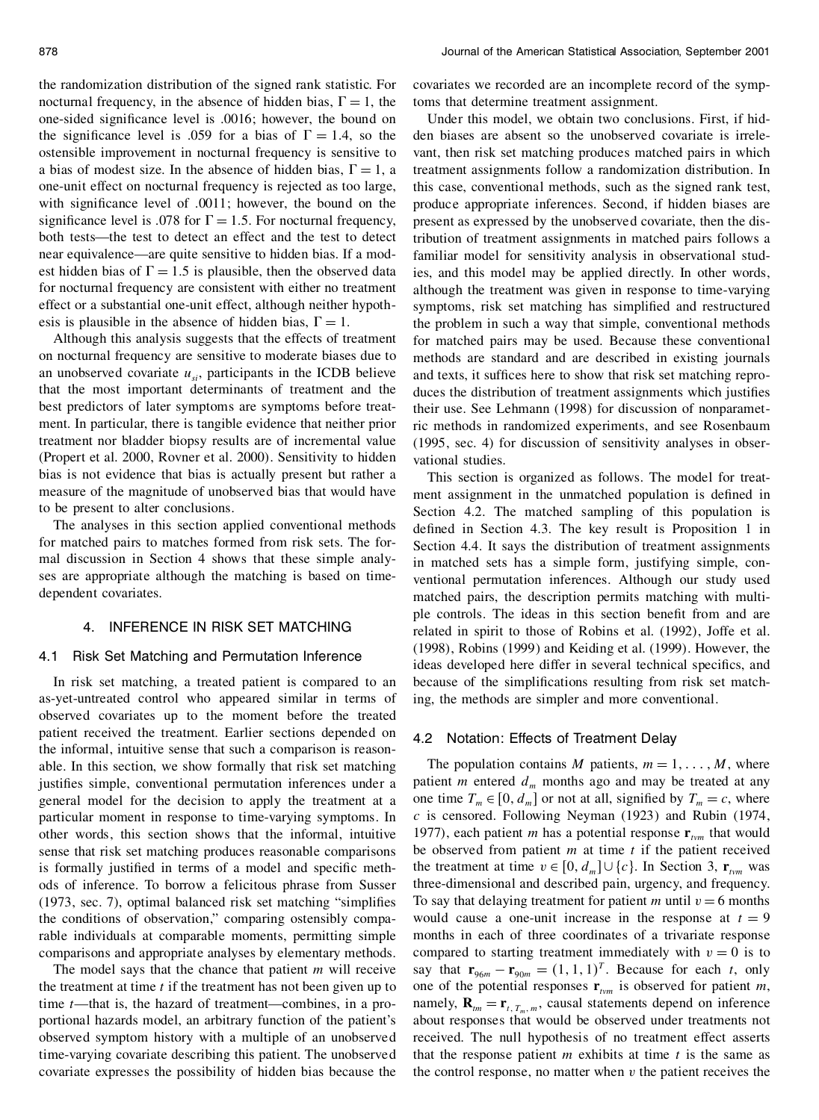the randomization distribution of the signed rank statistic. For nocturnal frequency, in the absence of hidden bias,  $\Gamma = 1$ , the one-sided significance level is .0016; however, the bound on the significance level is .059 for a bias of  $\Gamma = 1.4$ , so the ostensible improvement in nocturnal frequency is sensitive to a bias of modest size. In the absence of hidden bias,  $\Gamma = 1$ , a one-unit effect on nocturnal frequency is rejected as too large, with significance level of .0011; however, the bound on the significance level is .078 for  $\Gamma = 1.5$ . For nocturnal frequency, both tests—the test to detect an effect and the test to detect near equivalence—are quite sensitive to hidden bias. If a mod est hidden bias of  $\Gamma = 1.5$  is plausible, then the observed data for nocturnal frequency are consistent with either no treatment effect or a substantial one-unit effect, although neither hypoth esis is plausible in the absence of hidden bias,  $\Gamma = 1$ .

Although this analysis suggests that the effects of treatment on nocturnal frequency are sensitive to moderate biases due to an unobserved covariate  $u_{si}$ , participants in the ICDB believe that the most important determinants of treatment and the best predictors of later symptoms are symptoms before treat ment. In particular, there is tangible evidence that neither prior treatment nor bladder biopsy results are of incremental value (Propert et al. 2000, Rovner et al. 2000). Sensitivity to hidden bias is not evidence that bias is actually present but rather a measure of the magnitude of unobserved bias that would have to be present to alter conclusions.

The analyses in this section applied conventional methods for matched pairs to matches formed from risk sets. The for mal discussion in Section 4 shows that these simple analyses are appropriate although the matching is based on time dependent covariates.

### 4. INFERENCE IN RISK SET MATCHING

#### 4.1 Risk Set Matching and Permutation Inference

In risk set matching, a treated patient is compared to an as-yet-untreated control who appeared similar in terms of observed covariates up to the moment before the treated patient received the treatment. Earlier sections depended on the informal, intuitive sense that such a comparison is reason able. In this section, we show formally that risk set matching justifies simple, conventional permutation inferences under a general model for the decision to apply the treatment at a particular moment in response to time-varying symptoms. In  $c$  is censored. Following Neyman (1923) and Rubin (1974, other words, this section shows that the informal, intuitive sense that risk set matching produces reasonable comparisons is formally justified in terms of a model and specific methods of inference. To borrow a felicitous phrase from Susser  $(1973, \text{ sec. } 7)$ , optimal balanced risk set matching "simplifies" the conditions of observation," comparing ostensibly comparable individuals at comparable moments, permitting simple comparisons and appropriate analyses by elementary methods.

The model says that the chance that patient *m* will receive the treatment at time *t* if the treatment has not been given up to time *t*—that is, the hazard of treatment—combines, in a pro portional hazards model, an arbitrary function of the patient's observed symptom history with a multiple of an unobserved time-varying covariate describing this patient. The unobserved covariate expresses the possibility of hidden bias because the

covariates we recorded are an incomplete record of the symptoms that determine treatment assignment.

Under this model, we obtain two conclusions. First, if hid den biases are absent so the unobserved covariate is irrele vant, then risk set matching produces matched pairs in which treatment assignments follow a randomization distribution. In this case, conventional methods, such as the signed rank test, produce appropriate inferences. Second, if hidden biases are present as expressed by the unobserved covariate, then the distribution of treatment assignments in matched pairs follows a familiar model for sensitivity analysis in observational studies, and this model may be applied directly. In other words, although the treatment was given in response to time-varying symptoms, risk set matching has simplified and restructured the problem in such a way that simple, conventional methods for matched pairs may be used. Because these conventional methods are standard and are described in existing journals and texts, it suffices here to show that risk set matching reproduces the distribution of treatment assignments which justifies their use. See Lehmann (1998) for discussion of nonparametric methods in randomized experiments, and see Rosenbaum (1995, sec. 4) for discussion of sensitivity analyses in obser vational studies.

This section is organized as follows. The model for treat ment assignment in the unmatched population is defined in Section 4.2. The matched sampling of this population is defined in Section 4.3. The key result is Proposition 1 in Section 4.4. It says the distribution of treatment assignments in matched sets has a simple form, justifying simple, con ventional permutation inferences. Although our study used matched pairs, the description permits matching with multi ple controls. The ideas in this section benefit from and are related in spirit to those of Robins et al. (1992), Joffe et al. (1998), Robins (1999) and Keiding et al. (1999). However, the ideas developed here differ in several technical specifics, and because of the simplifications resulting from risk set matching, the methods are simpler and more conventional.

#### 4.2 Notation: Effects of Treatment Delay

The population contains *M* patients,  $m = 1, \ldots, M$ , where patient *m* entered  $d_m$  months ago and may be treated at any one time  $T_m \in [0, d_m]$  or not at all, signified by  $T_m = c$ , where 1977), each patient *m* has a potential response  $\mathbf{r}_{tvm}$  that would be observed from patient *m* at time *t* if the patient received the treatment at time  $v \in [0, d_m] \cup \{c\}$ . In Section 3,  $\mathbf{r}_{tvm}$  was three-dimensional and described pain, urgency, and frequency. To say that delaying treatment for patient *m* until  $v = 6$  months would cause a one-unit increase in the response at  $t = 9$ months in each of three coordinates of a trivariate response compared to starting treatment immediately with  $v = 0$  is to say that  $\mathbf{r}_{96m} - \mathbf{r}_{90m} = (1, 1, 1)^T$ . Because for each *t*, only one of the potential responses  $\mathbf{r}_{tvm}$  is observed for patient *m*, namely,  $\mathbf{R}_{tm} = \mathbf{r}_{t, T_m, m}$ , causal statements depend on inference about responses that would be observed under treatments not received. The null hypothesis of no treatment effect asserts that the response patient  $m$  exhibits at time  $t$  is the same as the control response, no matter when *v* the patient receives the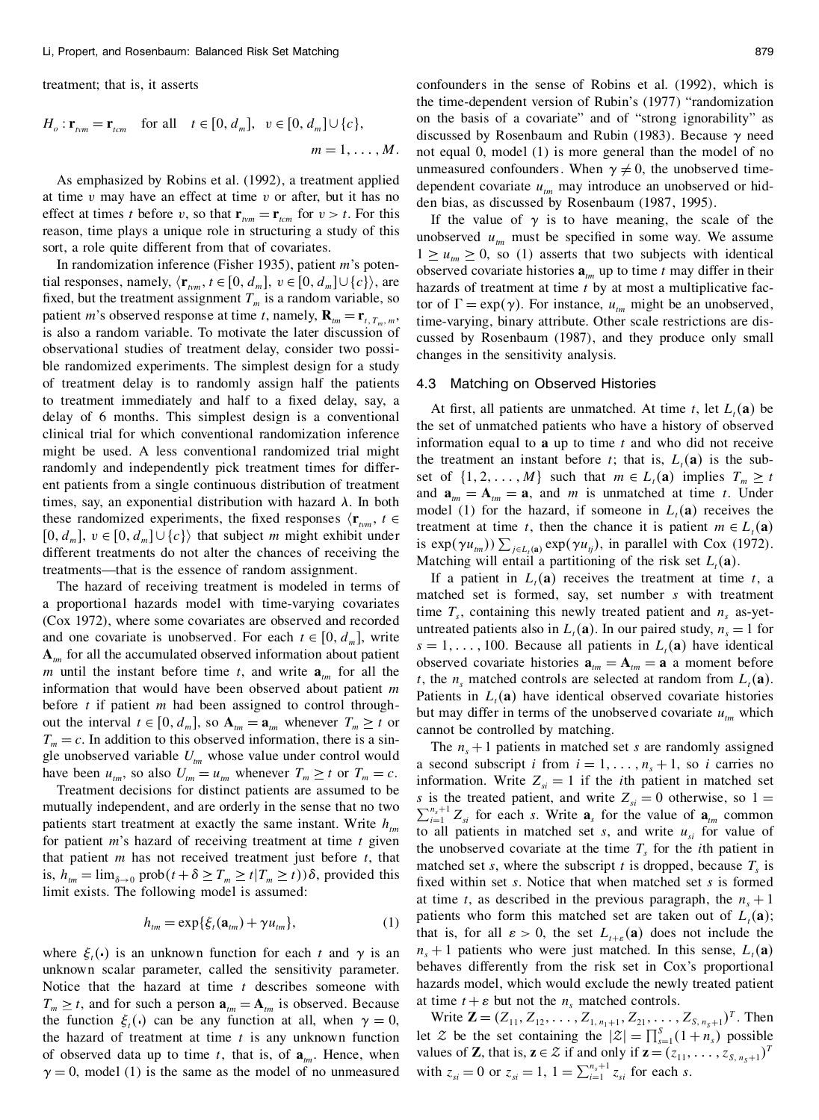treatment; that is, it asserts

$$
H_o: \mathbf{r}_{tvm} = \mathbf{r}_{tcm} \text{ for all } t \in [0, d_m], v \in [0, d_m] \cup \{c\},
$$
  

$$
m = 1, \dots, M.
$$

at time *v* may have an effect at time *v* or after, but it has no effect at times *t* before *v*, so that  $\mathbf{r}_{tvm} = \mathbf{r}_{tcm}$  for  $v > t$ . For this reason, time plays a unique role in structuring a study of this sort, a role quite different from that of covariates.

In randomization inference (Fisher 1935), patient *m*'s potential responses, namely,  $\langle \mathbf{r}_{tm}^n, t \in [0, d_m], v \in [0, d_m] \cup \{c\} \rangle$ , are fixed, but the treatment assignment  $T_m$  is a random variable, so patient *m*'s observed response at time *t*, namely,  $\mathbf{R}_{tm} = \mathbf{r}_{t, T_m, m}$ , is also a random variable. To motivate the later discussion of observational studies of treatment delay, consider two possi ble randomized experiments. The simplest design for a study of treatment delay is to randomly assign half the patients to treatment immediately and half to a fixed delay, say, a delay of 6 months. This simplest design is a conventional clinical trial for which conventional randomization inference might be used. A less conventional randomized trial might randomly and independently pick treatment times for differ ent patients from a single continuous distribution of treatment times, say, an exponential distribution with hazard  $\lambda$ . In both these randomized experiments, the fixed responses  $\langle \mathbf{r}_{\text{true}}, t \in$  $[0, d_m]$ ,  $v \in [0, d_m] \cup \{c\}$  that subject *m* might exhibit under different treatments do not alter the chances of receiving the<br>Matching will entail a partitioning of the risk set  $L_i(\mathbf{a})$ . treatments—that is the essence of random assignment.

The hazard of receiving treatment is modeled in terms of a proportional hazards model with time-varying covariates (Cox 1972), where some covariates are observed and recorded<br>and recorded untreated patients also in  $L_t(\mathbf{a})$ . In our paired study,  $n_s = 1$  for and one covariate is unobserved. For each  $t \in [0, d_m]$ , write **A***tm* for all the accumulated observed information about patient *m* until the instant before time *t*, and write  $\mathbf{a}_{tm}$  for all the information that would have been observed about patient *m* before *t* if patient *m* had been assigned to control through out the interval  $t \in [0, d_m]$ , so  $\mathbf{A}_{tm} = \mathbf{a}_{tm}$  whenever  $T_m \ge t$  or  $T_m = c$ . In addition to this observed information, there is a single unobserved variable  $U_{\text{tm}}$  whose value under control would

mutually independent, and are orderly in the sense that no two patients start treatment at exactly the same instant. Write  $h_{tm}$ for patient *m*'s hazard of receiving treatment at time *t* given that patient *m* has not received treatment just before *t*, that is,  $h_{tm} = \lim_{\delta \to 0} \text{prob}(t + \delta \geq T_m \geq t | T_m \geq t)$ )  $\delta$ , provided this limit exists. The following model is assumed:

$$
h_{\scriptscriptstyle tm} = \exp\{\xi_t(\mathbf{a}_{\scriptscriptstyle tm}) + \gamma u_{\scriptscriptstyle tm}\},\tag{1}
$$

unknown scalar parameter, called the sensitivity parameter. Notice that the hazard at time *t* describes someone with hazards model, which would exclude the newl  $T \ge t$  and for such a person  $a = A$  is observed. Because at time  $t + \varepsilon$  but not the  $n_s$  matched controls.  $T_m \geq t$ , and for such a person  $\mathbf{a}_{tm} = \mathbf{A}_{tm}$  is observed. Because the function  $\xi_t()$  can be any function at all, when  $\gamma = 0$ , the hazard of treatment at time *t* is any unknown function of observed data up to time *t*, that is, of  $a_{tm}$ . Hence, when  $\gamma = 0$ , model (1) is the same as the model of no unmeasured

As emphasized by Robins et al. (1992), a treatment applied dependent covariate  $\mu$  may introduce an unobserved or hidconfounders in the sense of Robins et al. (1992), which is the time-dependent version of Rubin's (1977) "randomization on the basis of a covariate" and of "strong ignorability" as discussed by Rosenbaum and Rubin (1983). Because  $\gamma$  need not equal 0, model (1) is more general than the model of no dependent covariate  $u_{tm}$  may introduce an unobserved or hidden bias, as discussed by Rosenbaum (1987, 1995).

> If the value of  $\gamma$  is to have meaning, the scale of the unobserved  $u_{tm}$  must be specified in some way. We assume  $1 \geq u_{tm} \geq 0$ , so (1) asserts that two subjects with identical observed covariate histories  $\mathbf{a}_{tm}$  up to time *t* may differ in their hazards of treatment at time *t* by at most a multiplicative factor of  $\Gamma = \exp(\gamma)$ . For instance,  $u_{tm}$  might be an unobserved, time-varying, binary attribute. Other scale restrictions are dis cussed by Rosenbaum (1987), and they produce only small changes in the sensitivity analysis.

#### 4.3 Matching on Observed Histories

At first, all patients are unmatched. At time *t*, let  $L_t(\mathbf{a})$  be the set of unmatched patients who have a history of observed information equal to **a** up to time *t* and who did not receive the treatment an instant before *t*; that is,  $L_t(\mathbf{a})$  is the subset of  $\{1, 2, \ldots, M\}$  such that  $m \in L_t(\mathbf{a})$  implies  $T_m \geq t$ and  $\mathbf{a}_{tm} = \mathbf{A}_{tm} = \mathbf{a}$ , and *m* is unmatched at time *t*. Under model (1) for the hazard, if someone in  $L<sub>t</sub>(a)$  receives the treatment at time *t*, then the chance it is patient  $m \in L_t(\mathbf{a})$ is  $\exp(\gamma u_{tm}) \sum_{j \in L_t(\mathbf{a})} \exp(\gamma u_{ij})$ , in parallel with Cox (1972).<br>Matching will entail a partitioning of the risk set  $L_t(\mathbf{a})$ .

If a patient in  $L_t(\mathbf{a})$  receives the treatment at time *t*, a matched set is formed, say, set number *s* with treatment time  $T<sub>s</sub>$ , containing this newly treated patient and  $n<sub>s</sub>$  as-yet $s = 1, \ldots, 100$ . Because all patients in  $L_t(\mathbf{a})$  have identical observed covariate histories  $\mathbf{a}_{tm} = \mathbf{A}_{tm} = \mathbf{a}$  a moment before *t*, the *n<sub>s</sub>* matched controls are selected at random from  $L<sub>t</sub>(a)$ . Patients in  $L<sub>t</sub>(a)$  have identical observed covariate histories but may differ in terms of the unobserved covariate  $u_{tm}$  which cannot be controlled by matching.

have been  $u_{im}$ , so also  $U_{im} = u_{im}$  whenever  $T_m \ge t$  or  $T_m = c$ .<br>Treatment decisions for distinct patients are assumed to be<br>*s* is the treated patient, and write  $Z_{si} = 0$  otherwise, so  $1 =$ where  $\xi_i(\cdot)$  is an unknown function for each *t* and  $\gamma$  is an  $n_s+1$  patients who were just matched. In this sense,  $L_i(\mathbf{a})$ The  $n<sub>s</sub> + 1$  patients in matched set *s* are randomly assigned a second subscript *i* from  $i = 1, \ldots, n_s + 1$ , so *i* carries no information. Write  $Z_{si} = 1$  if the *i*th patient in matched set *s* is the treated patient, and write  $Z_{si} = 0$  otherwise, so  $1 = \sum_{i=1}^{n_s+1} Z_{si}$  for each *s*. Write  $\mathbf{a}_s$  for the value of  $\mathbf{a}_{tm}$  common to all patients in matched set  $s$ , and write  $u_{si}$  for value of the unobserved covariate at the time  $T<sub>s</sub>$  for the *i*th patient in matched set *s*, where the subscript *t* is dropped, because  $T<sub>s</sub>$  is fixed within set *s*. Notice that when matched set *s* is formed at time *t*, as described in the previous paragraph, the  $n<sub>s</sub> + 1$ patients who form this matched set are taken out of  $L<sub>t</sub>(a)$ ; that is, for all  $\varepsilon > 0$ , the set  $L_{t+\varepsilon}(\mathbf{a})$  does not include the behaves differently from the risk set in Cox's proportional hazards model, which would exclude the newly treated patient

at time  $t + \varepsilon$  but not the  $n_s$  matched controls.<br>Write  $\mathbf{Z} = (Z_{11}, Z_{12}, \dots, Z_{1,n_1+1}, Z_{21}, \dots, Z_{S,n_s+1})^T$ . Then let  $\mathcal{Z}$  be the set containing the  $|\mathcal{Z}| = \prod_{s=1}^{S} (1 + n_s)$  possible values of **Z**, that is,  $z \in \mathcal{Z}$  if and only if  $z = (z_{11}, \ldots, z_{s, n_s+1})^T$ with  $z_{si} = 0$  or  $z_{si} = 1$ ,  $1 = \sum_{i=1}^{n_s+1} z_{si}$  for each *s*.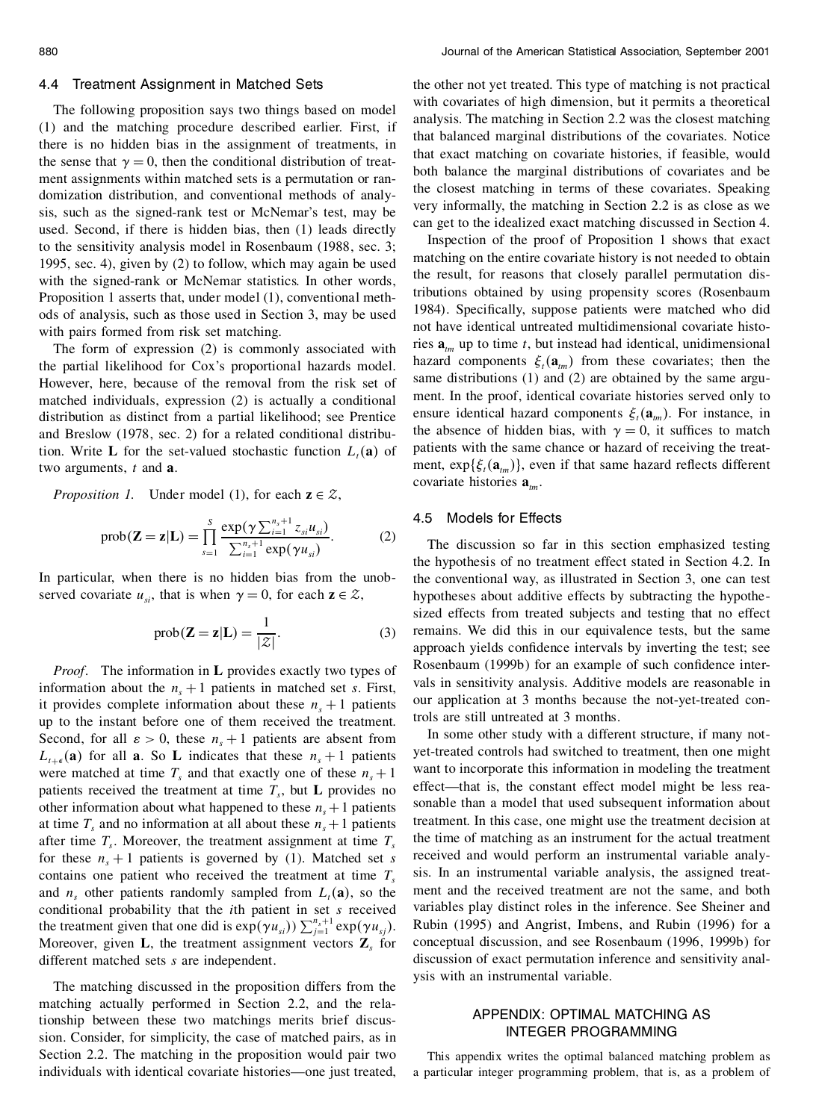#### 4.4 Treatment Assignment in Matched Sets

The following proposition says two things based on model (1) and the matching procedure described earlier. First, if there is no hidden bias in the assignment of treatments, in the sense that  $\gamma = 0$ , then the conditional distribution of treat-<br>ment assignments within matched sets is a permutation or randomization distribution, and conventional methods of analysis, such as the signed-rank test or McNemar's test, may be used. Second, if there is hidden bias, then (1) leads directly to the sensitivity analysis model in Rosenbaum (1988, sec. 3; 1995, sec. 4), given by (2) to follow, which may again be used with the signed-rank or McNemar statistics. In other words, Proposition 1 asserts that, under model (1), conventional meth ods of analysis, such as those used in Section 3, may be used with pairs formed from risk set matching.

The form of expression (2) is commonly associated with the partial likelihood for Cox's proportional hazards model. However, here, because of the removal from the risk set of matched individuals, expression (2) is actually a conditional distribution as distinct from a partial likelihood; see Prentice and Breslow (1978, sec. 2) for a related conditional distribution. Write **L** for the set-valued stochastic function  $L_t(\mathbf{a})$  of two arguments, *t* and **a**.

*Proposition 1.* Under model (1), for each  $z \in \mathcal{Z}$ ,

$$
\text{prob}(\mathbf{Z} = \mathbf{z}|\mathbf{L}) = \prod_{s=1}^{S} \frac{\exp(\gamma \sum_{i=1}^{n_s+1} z_{si} u_{si})}{\sum_{i=1}^{n_s+1} \exp(\gamma u_{si})}.
$$
 (2)

In particular, when there is no hidden bias from the unobserved covariate  $u_{si}$ , that is when  $\gamma = 0$ , for each  $z \in \mathcal{Z}$ ,

$$
prob(\mathbf{Z} = \mathbf{z}|\mathbf{L}) = \frac{1}{|\mathcal{Z}|}.
$$
 (3)

*Proof*. The information in **L** provides exactly two types of information about the  $n<sub>s</sub> + 1$  patients in matched set *s*. First, it provides complete information about these  $n<sub>s</sub> + 1$  patients up to the instant before one of them received the treatment. Second, for all  $\varepsilon > 0$ , these  $n<sub>s</sub> + 1$  patients are absent from  $L_{t+\epsilon}$  (a) for all **a**. So **L** indicates that these  $n_s + 1$  patients were matched at time  $T_s$  and that exactly one of these  $n_s + 1$ patients received the treatment at time  $T_s$ , but **L** provides no other information about what happened to these  $n<sub>s</sub> + 1$  patients at time  $T_s$  and no information at all about these  $n_s + 1$  patients after time  $T_s$ . Moreover, the treatment assignment at time  $T_s$ for these  $n<sub>s</sub> + 1$  patients is governed by (1). Matched set *s* contains one patient who received the treatment at time  $T<sub>s</sub>$ and  $n<sub>s</sub>$  other patients randomly sampled from  $L<sub>t</sub>(a)$ , so the conditional probability that the *i*th patient in set *s* received the treatment given that one did is  $\exp(\gamma u_{si}) \sum_{j=1}^{n_s+1} \exp(\gamma u_{sj})$ .<br>Moreover, given **L**, the treatment assignment vectors **Z**<sub>*s*</sub> for different matched sets *s* are independent.

The matching discussed in the proposition differs from the matching actually performed in Section 2.2, and the relationship between these two matchings merits brief discussion. Consider, for simplicity, the case of matched pairs, as in Section 2.2. The matching in the proposition would pair two individuals with identical covariate histories—one just treated,

the other not yet treated. This type of matching is not practical with covariates of high dimension, but it permits a theoretical analysis. The matching in Section 2.2 was the closest matching that balanced marginal distributions of the covariates. Notice that exact matching on covariate histories, if feasible, would both balance the marginal distributions of covariates and be the closest matching in terms of these covariates. Speaking very informally, the matching in Section 2.2 is as close as we can get to the idealized exact matching discussed in Section 4.

Inspection of the proof of Proposition 1 shows that exact matching on the entire covariate history is not needed to obtain the result, for reasons that closely parallel permutation distributions obtained by using propensity scores (Rosenbaum 1984). Specifically, suppose patients were matched who did not have identical untreated multidimensional covariate histories  $\mathbf{a}_{tm}$  up to time *t*, but instead had identical, unidimensional hazard components  $\xi_t(\mathbf{a}_{tm})$  from these covariates; then the same distributions (1) and (2) are obtained by the same argu ment. In the proof, identical covariate histories served only to ensure identical hazard components  $\xi_t(\mathbf{a}_{tm})$ . For instance, in the absence of hidden bias, with  $\gamma = 0$ , it suffices to match patients with the same chance or hazard of receiving the treat ment,  $\exp{\{\xi_t(\mathbf{a}_{tm})\}}$ , even if that same hazard reflects different covariate histories **a***tm*.

## 4.5 Models for Effects

The discussion so far in this section emphasized testing the hypothesis of no treatment effect stated in Section 4.2. In the conventional way, as illustrated in Section 3, one can test hypotheses about additive effects by subtracting the hypothesized effects from treated subjects and testing that no effect remains. We did this in our equivalence tests, but the same approach yields confidence intervals by inverting the test; see Rosenbaum (1999b) for an example of such confidence intervals in sensitivity analysis. Additive models are reasonable in our application at 3 months because the not-yet-treated controls are still untreated at 3 months.

In some other study with a different structure, if many not yet-treated controls had switched to treatment, then one might want to incorporate this information in modeling the treatment effect—that is, the constant effect model might be less reasonable than a model that used subsequent information about treatment. In this case, one might use the treatment decision at the time of matching as an instrument for the actual treatment received and would perform an instrumental variable analysis. In an instrumental variable analysis, the assigned treat ment and the received treatment are not the same, and both variables play distinct roles in the inference. See Sheiner and Rubin (1995) and Angrist, Imbens, and Rubin (1996) for a conceptual discussion, and see Rosenbaum (1996, 1999b) for discussion of exact permutation inference and sensitivity anal ysis with an instrumental variable.

# APPENDIX: OPTIMAL MATCHING AS INTEGER PROGRAMMING

This appendix writes the optimal balanced matching problem as a particular integer programming problem, that is, as a problem of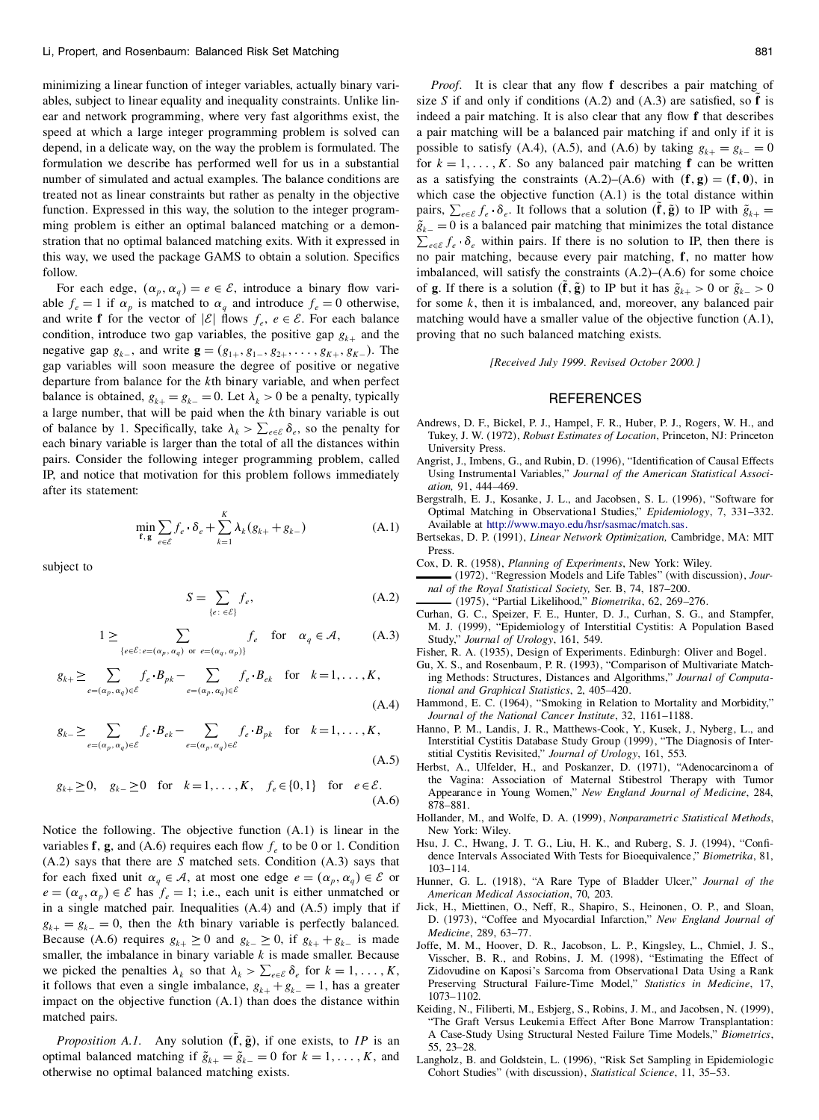minimizing a linear function of integer variables, actually binary vari ables, subject to linear equality and inequality constraints. Unlike lin ear and network programming, where very fast algorithms exist, the speed at which a large integer programming problem is solved can depend, in a delicate way, on the way the problem is formulated. The formulation we describe has performed well for us in a substantial number of simulated and actual examples. The balance conditions are treated not as linear constraints but rather as penalty in the objective function. Expressed in this way, the solution to the integer program ming problem is either an optimal balanced matching or a demonstration that no optimal balanced matching exits. With it expressed in this way, we used the package GAMS to obtain a solution. Specifics follow.

For each edge,  $(\alpha_p, \alpha_q) = e \in \mathcal{E}$ , introduce a binary flow variable  $f_e = 1$  if  $\alpha_p$  is matched to  $\alpha_q$  and introduce  $f_e = 0$  otherwise, able  $f_e = 1$  if  $\alpha_p$  is matched to  $\alpha_q$  and introduce  $f_e = 0$  otherwise, and write **f** for the vector of  $|\mathcal{E}|$  flows  $f_e$ ,  $e \in \mathcal{E}$ . For each balance condition, introduce two gap variables, the positive gap  $g_{k+}$  and the negative gap  $g_{k-1}$ , and write  $\mathbf{g} = (g_{1+1}, g_{1-1}, g_{2+1}, \dots, g_{K+1}, g_{K-1})$ . The gap variables will soon measure the degree of positive or negative departure from balance for the *k*th binary variable, and when perfect balance is obtained,  $g_{k+} = g_{k-} = 0$ . Let  $\lambda_k > 0$  be a penalty, typically a large number, that will be paid when the *k*th binary variable is out of balance by 1. Specifically, take  $\lambda_k > \sum_{e \in \mathcal{E}} \delta_e$ , so the penalty for each binary variable is larger than the total of all the distances within pairs. Consider the following integer programming problem, called IP, and notice that motivation for this problem follows immediately after its statement:

$$
\min_{\mathbf{f}, \mathbf{g}} \sum_{e \in \mathcal{E}} f_e \cdot \delta_e + \sum_{k=1}^K \lambda_k (g_{k+} + g_{k-})
$$
 (A.1)

subject to

$$
S = \sum_{\{e: \ \in \mathcal{E}\}} f_e,\tag{A.2}
$$

$$
1 \geq \sum_{\{e \in \mathcal{E} : e = (\alpha_p, \alpha_q) \text{ or } e = (\alpha_q, \alpha_p)\}} f_e \quad \text{for} \quad \alpha_q \in \mathcal{A}, \tag{A.3}
$$

$$
g_{k+} \geq \sum_{e=(\alpha_p,\alpha_q)\in \mathcal{E}} f_e \cdot B_{pk} - \sum_{e=(\alpha_p,\alpha_q)\in \mathcal{E}} f_e \cdot B_{ek} \quad \text{for} \quad k=1,\ldots,K,
$$
\n(A.4)

$$
g_{k-} \geq \sum_{e=(\alpha_p,\alpha_q)\in\mathcal{E}} f_e \cdot B_{ek} - \sum_{e=(\alpha_p,\alpha_q)\in\mathcal{E}} f_e \cdot B_{pk} \quad \text{for} \quad k=1,\ldots,K,
$$
\n(A.5)

$$
g_{k+} \ge 0
$$
,  $g_{k-} \ge 0$  for  $k=1,...,K$ ,  $f_e \in \{0,1\}$  for  $e \in \mathcal{E}$ .  
(A.6)

Notice the following. The objective function (A.1) is linear in the variables **f**, **g**, and (A.6) requires each flow  $f_e$  to be 0 or 1. Condition <sup>1</sup> (A.2) says that there are *S* matched sets. Condition (A.3) says that for each fixed unit  $\alpha_q \in \mathcal{A}$ , at most one edge  $e = (\alpha_p, \alpha_q) \in \mathcal{E}$  or  $e = (\alpha_q, \alpha_p) \in \mathcal{E}$  has  $f_e = 1$ ; i.e., each unit is either unmatched or in a single matched pair. Inequalities (A.4) and (A.5) imply that if *g*<sub>*k*+</sub> = *g*<sub>*k*</sub> = 0, then the *k*<sup>th</sup> binary variable is perfectly balanced. Because (A.6) requires *g*<sub>*k*+</sub> ≥ 0 and *g*<sub>*k*</sub> ≥ 0, if *g*<sub>*k*+</sub> + *g*<sub>*k*</sub> is made smaller, the imbalance in binary variable  $k$  is made smaller. Because we picked the penalties  $\lambda_k$  so that  $\lambda_k > \sum_{e \in \mathcal{E}} \delta_e$  for  $k = 1, \dots, K$ , it follows that even a single imbalance,  $g_{k+} + g_{k-} = 1$ , has a greater impact on the objective function (A.1) than does the distance within matched pairs.

*Proposition A.1*. Any solution  $(f, \tilde{g})$ , if one exists, to *IP* is an optimal balanced matching if  $\tilde{g}_{k+} = \tilde{g}_{k-} = 0$  for  $k = 1, \ldots, K$ , and otherwise no optimal balanced matching exists.

*Proof.* It is clear that any flow **f** describes a pair matching of size *S* if and only if conditions  $(A.2)$  and  $(A.3)$  are satisfied, so **f** is indeed a pair matching. It is also clear that any flow f that describes a pair matching will be a balanced pair matching if and only if it is possible to satisfy (A.4), (A.5), and (A.6) by taking  $g_{k+} = g_{k-} = 0$ for  $k = 1, \ldots, K$ . So any balanced pair matching **f** can be written as a satisfying the constraints  $(A.2)$ – $(A.6)$  with  $(f, g) = (f, 0)$ , in which case the objective function (A.1) is the total distance within pairs,  $\sum_{e \in \mathcal{E}} f_e \cdot \delta_e$ . It follows that a solution  $(\tilde{\mathbf{f}}, \tilde{\mathbf{g}})$  to IP with  $\tilde{g}_{k+} =$  $\tilde{g}_{k-} = 0$  is a balanced pair matching that minimizes the total distance  $\sum_{e \in \mathcal{E}} f_e \cdot \delta_e$  within pairs. If there is no solution to IP, then there is *no* pair matching, because every pair matching, **f**, no matter how imbalanced, will satisfy the constraints (A.2)–(A.6) for some choice of **g**. If there is a solution  $(f, \tilde{g})$  to IP but it has  $\tilde{g}_{k+} > 0$  or  $\tilde{g}_{k-} > 0$ for some *k*, then it is imbalanced, and, moreover, any balanced pair matching would have a smaller value of the objective function (A.1), proving that no such balanced matching exists.

*[Received July 1999. Revised October 2000.]*

#### **REFERENCES**

- Andrews, D. F., Bickel, P. J., Hampel, F. R., Huber, P. J., Rogers, W. H., and Tukey, J. W. (1972), *Robust Estimates of Location*, Princeton, NJ: Princeton University Press.
- Angrist, J., Imbens, G., and Rubin, D. (1996), "Identification of Causal Effects Using Instrumental Variables," *Journal of the American Statistical Associ ation,* 91, 444–469.
- Bergstralh, E. J., Kosanke, J. L., and Jacobsen, S. L. (1996), "Software for Optimal Matching in Observational Studies," *Epidemiology*, 7, 331–332. Available at [http://www.mayo.edu/hsr/sasmac/match.sas.](http://www.mayo.edu/hsr/sasmac/match.sas)
- Bertsekas, D. P. (1991), *Linear Network Optimization,* Cambridge, MA: MIT Press.
- Cox, D. R. (1958), *Planning of Experiments*, New York: Wiley.
- (1972), "Regression Models and Life Tables" (with discussion), *Jour nal of the Royal Statistical Society,* Ser. B, 74, 187–200.
- (1975), "Partial Likelihood," *Biometrika*, 62, 269–276.
- Curhan, G. C., Speizer, F. E., Hunter, D. J., Curhan, S. G., and Stampfer, M. J. (1999), "Epidemiology of Interstitial Cystitis: A Population Based Study," *Journal of Urology*, 161, 549.
- Fisher, R. A. (1935), Design of Experiments. Edinburgh: Oliver and Bogel.
- Gu, X. S., and Rosenbaum, P. R. (1993), "Comparison of Multivariate Matching Methods: Structures, Distances and Algorithms," *Journal of Computational and Graphical Statistics*, 2, 405–420.
- Hammond, E. C. (1964), "Smoking in Relation to Mortality and Morbidity," *Journal of the National Cancer Institute*, 32, 1161–1188.
- Hanno, P. M., Landis, J. R., Matthews-Cook, Y., Kusek, J., Nyberg, L., and Interstitial Cystitis Database Study Group (1999), "The Diagnosis of Inter stitial Cystitis Revisited," *Journal of Urology*, 161, 553.
- Herbst, A., Ulfelder, H., and Poskanzer, D. (1971), "Adenocarcinoma of the Vagina: Association of Maternal Stibestrol Therapy with Tumor Appearance in Young Women," *New England Journal of Medicine*, 284, 878–881.
- Hollander, M., and Wolfe, D. A. (1999), *Nonparametric Statistical Methods*, New York: Wiley.
- Hsu, J. C., Hwang, J. T. G., Liu, H. K., and Ruberg, S. J. (1994), "Confidence Intervals Associated With Tests for Bioequivalence ," *Biometrika*, 81, 103–114.
- Hunner, G. L. (1918), "A Rare Type of Bladder Ulcer," *Journal of the American Medical Association*, 70, 203.
- Jick, H., Miettinen, O., Neff, R., Shapiro, S., Heinonen, O. P., and Sloan, D. (1973), "Coffee and Myocardial Infarction," *New England Journal of Medicine*, 289, 63–77.
- Joffe, M. M., Hoover, D. R., Jacobson, L. P., Kingsley, L., Chmiel, J. S., Visscher, B. R., and Robins, J. M. (1998), "Estimating the Effect of Zidovudine on Kaposi's Sarcoma from Observational Data Using a Rank Preserving Structural Failure-Time Model," *Statistics in Medicine*, 17, 1073–1102.
- Keiding, N., Filiberti, M., Esbjerg, S., Robins, J. M., and Jacobsen, N. (1999), "The Graft Versus Leukemia Effect After Bone Marrow Transplantation: A Case-Study Using Structural Nested Failure Time Models," *Biometrics*, 55, 23–28.
- Langholz, B. and Goldstein, L. (1996), "Risk Set Sampling in Epidemiologic Cohort Studies" (with discussion), *Statistical Science*, 11, 35–53.